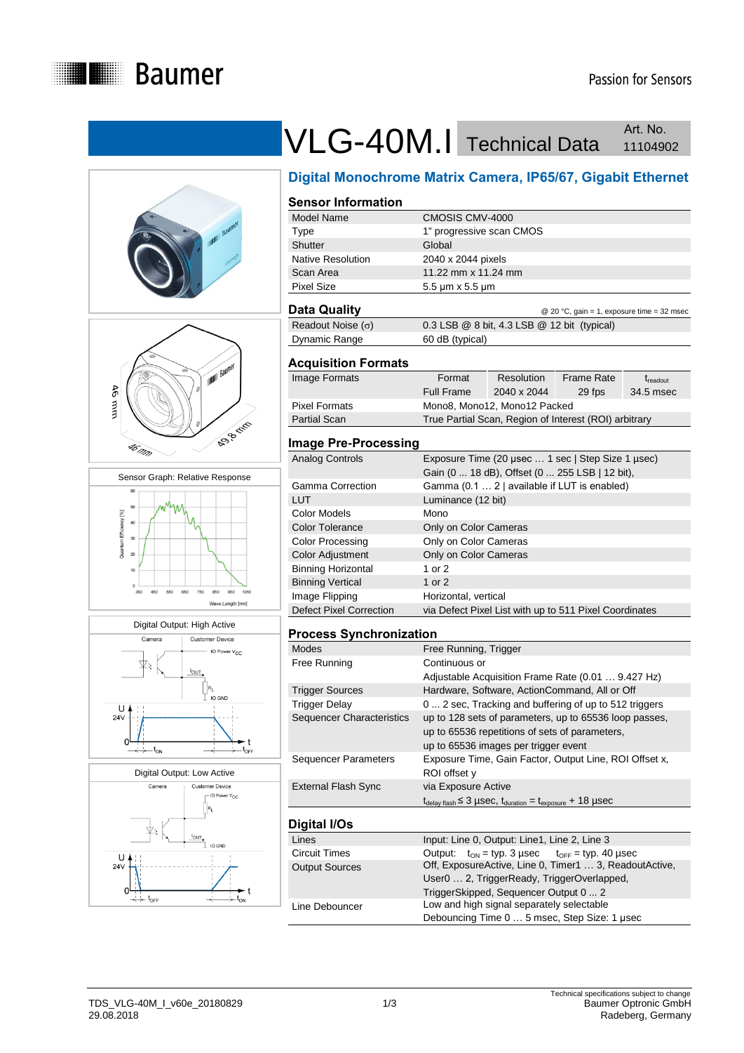











# VLG-40M.I Technical Data Art. No. Art. No.

## **Digital Monochrome Matrix Camera, IP65/67, Gigabit Ethernet**

### **Sensor Information**

| Model Name               | CMOSIS CMV-4000                                        |
|--------------------------|--------------------------------------------------------|
| Type                     | 1" progressive scan CMOS                               |
| Shutter                  | Global                                                 |
| <b>Native Resolution</b> | 2040 x 2044 pixels                                     |
| Scan Area                | 11.22 mm x 11.24 mm                                    |
| Pixel Size               | $5.5 \,\mathrm{\upmu m} \times 5.5 \,\mathrm{\upmu m}$ |
|                          |                                                        |

#### **Data Quality** @ 20 °C, gain = 1, exposure time = 32 msec

| - - - - - - - - - - -    | $\approx$ 20 $\sigma$ , gain $=$ 1, exposure anno $=$ 02 mode |
|--------------------------|---------------------------------------------------------------|
| Readout Noise $(\sigma)$ | 0.3 LSB @ 8 bit, 4.3 LSB @ 12 bit (typical)                   |
| Dynamic Range            | 60 dB (typical)                                               |

#### **Acquisition Formats**

| Image Formats | Format     | Resolution                                            | Frame Rate | $\rm t_{readout}$ |
|---------------|------------|-------------------------------------------------------|------------|-------------------|
|               | Full Frame | 2040 x 2044                                           | 29 fps     | 34.5 msec         |
| Pixel Formats |            | Mono8, Mono12, Mono12 Packed                          |            |                   |
| Partial Scan  |            | True Partial Scan, Region of Interest (ROI) arbitrary |            |                   |
|               |            |                                                       |            |                   |

#### **Image Pre-Processing**

| Analog Controls           | Exposure Time (20 usec  1 sec   Step Size 1 usec)<br>Gain (0  18 dB), Offset (0  255 LSB   12 bit), |
|---------------------------|-----------------------------------------------------------------------------------------------------|
| Gamma Correction          | Gamma (0.1  2   available if LUT is enabled)                                                        |
| LUT                       | Luminance (12 bit)                                                                                  |
| Color Models              | Mono                                                                                                |
| <b>Color Tolerance</b>    | Only on Color Cameras                                                                               |
| Color Processing          | Only on Color Cameras                                                                               |
| Color Adjustment          | Only on Color Cameras                                                                               |
| <b>Binning Horizontal</b> | 1 or 2                                                                                              |
| <b>Binning Vertical</b>   | 1 or $2$                                                                                            |
| Image Flipping            | Horizontal, vertical                                                                                |
| Defect Pixel Correction   | via Defect Pixel List with up to 511 Pixel Coordinates                                              |

#### **Process Synchronization**

| <b>Modes</b>                | Free Running, Trigger                                                                                            |
|-----------------------------|------------------------------------------------------------------------------------------------------------------|
| Free Running                | Continuous or                                                                                                    |
|                             | Adjustable Acquisition Frame Rate (0.01  9.427 Hz)                                                               |
| <b>Trigger Sources</b>      | Hardware, Software, ActionCommand, All or Off                                                                    |
| <b>Trigger Delay</b>        | 0  2 sec, Tracking and buffering of up to 512 triggers                                                           |
| Sequencer Characteristics   | up to 128 sets of parameters, up to 65536 loop passes,                                                           |
|                             | up to 65536 repetitions of sets of parameters,                                                                   |
|                             | up to 65536 images per trigger event                                                                             |
| <b>Sequencer Parameters</b> | Exposure Time, Gain Factor, Output Line, ROI Offset x,                                                           |
|                             | ROI offset y                                                                                                     |
| External Flash Sync         | via Exposure Active                                                                                              |
|                             | $t_{\text{delay flash}} \leq 3 \mu \text{sec}$ , $t_{\text{duration}} = t_{\text{exposure}} + 18 \mu \text{sec}$ |
|                             |                                                                                                                  |
| Digital I/Os                |                                                                                                                  |
| Lines                       | Input: Line 0, Output: Line1, Line 2, Line 3                                                                     |
| Circuit Times               | $Q$ utnut: $t_{01} = t \vee n$ 3 usec $t_{0.55} = t \vee n$ 40 usec                                              |

| ᅴᄔ                    | $\frac{1}{2}$ . Eine 0, Output, Eine i, Eine 2, Eine 9        |  |
|-----------------------|---------------------------------------------------------------|--|
| Circuit Times         | Output: $t_{ON} = typ. 3 \mu sec$ $t_{OFF} = typ. 40 \mu sec$ |  |
| <b>Output Sources</b> | Off, ExposureActive, Line 0, Timer1  3, ReadoutActive,        |  |
|                       | User0  2, TriggerReady, TriggerOverlapped,                    |  |
|                       | TriggerSkipped, Sequencer Output 0  2                         |  |
| Line Debouncer        | Low and high signal separately selectable                     |  |
|                       | Debouncing Time 0  5 msec, Step Size: 1 usec                  |  |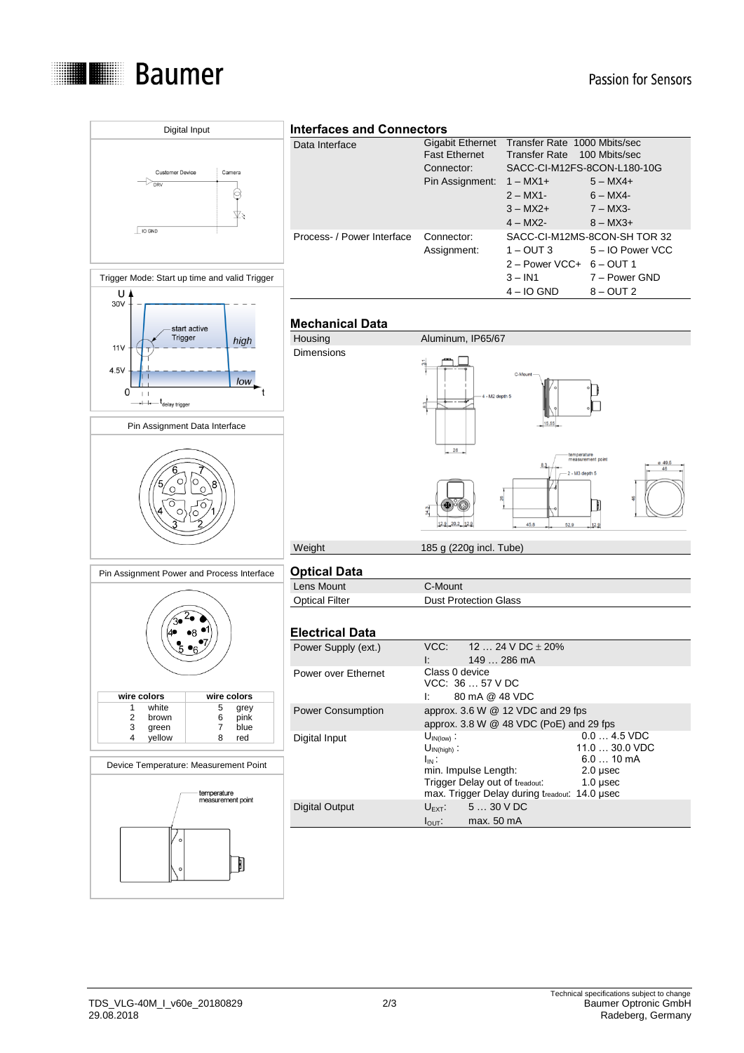